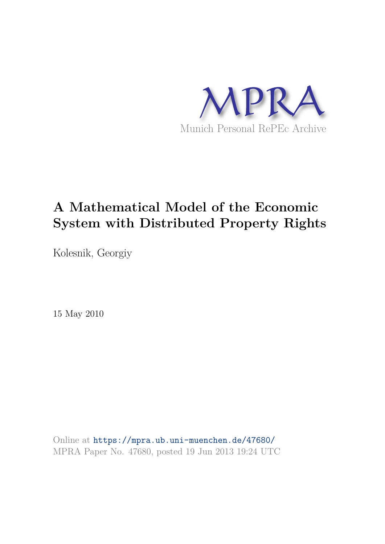

# **A Mathematical Model of the Economic System with Distributed Property Rights**

Kolesnik, Georgiy

15 May 2010

Online at https://mpra.ub.uni-muenchen.de/47680/ MPRA Paper No. 47680, posted 19 Jun 2013 19:24 UTC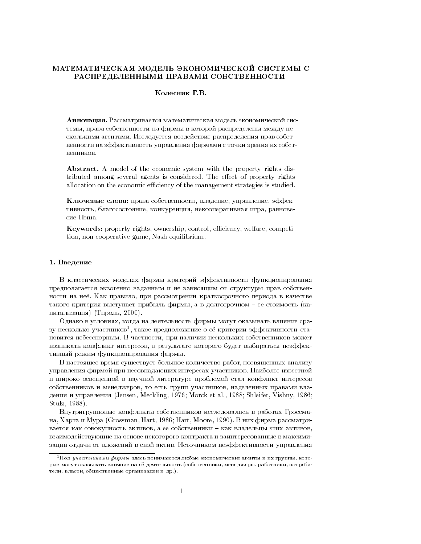### МАТЕМАТИЧЕСКАЯ МОДЕЛЬ ЭКОНОМИЧЕСКОЙ СИСТЕМЫ С РАСПРЕДЕЛЕННЫМИ ПРАВАМИ СОБСТВЕННОСТИ

#### Колесник Г.В.

Аннотация. Рассматривается математическая модель экономической системы, права собственности на фирмы в которой распределены между несколькими агентами. Исследуется воздействие распределения прав собственности на эффективность управления фирмами с точки зрения их собственников.

**Abstract.** A model of the economic system with the property rights distributed among several agents is considered. The effect of property rights allocation on the economic efficiency of the management strategies is studied.

Ключевые слова: права собственности, владение, управление, эффективность, благосостояние, конкуренция, некооперативная игра, равновесие Нэша.

**Keywords:** property rights, ownership, control, efficiency, welfare, competition, non-cooperative game, Nash equilibrium.

#### 1. Введение

В классических моделях фирмы критерий эффективности функционирования предполагается экзогенно заданным и не зависящим от структуры прав собственности на неё. Как правило, при рассмотрении краткосрочного периода в качестве такого критерия выступает прибыль фирмы, а в долгосрочном - ее стоимость (капитализация) (Тироль, 2000).

Однако в условиях, когда на деятельность фирмы могут оказывать влияние сразу несколько участников<sup>1</sup>, такое предположение о её критерии эффективности становится небесспорным. В частности, при наличии нескольких собственников может возникать конфликт интересов, в результате которого будет выбираться неэффективный режим функционирования фирмы.

В настоящее время существует большое количество работ, посвященных анализу управления фирмой при несовпадающих интересах участников. Наиболее известной и широко освещенной в научной литературе проблемой стал конфликт интересов собственников и менеджеров, то есть групп участников, наделенных правами владения и управления (Jensen, Meckling, 1976; Morck et al., 1988; Shleifer, Vishny, 1986; Stulz, 1988).

Внутригрупповые конфликты собственников исследовались в работах Гроссмана, Харта и Мура (Grossman, Hart, 1986; Hart, Moore, 1990). В них фирма рассматривается как совокупность активов, а ее собственники - как владельцы этих активов, взаимодействующие на основе некоторого контракта и заинтересованные в максимизации отдачи от вложений в свой актив. Источником неэффективности управления

 $^1\Pi$ од *участниками фирмы* здесь понимаются любые экономические агенты и их группы, которые могут оказывать влияние на её деятельность (собственники, менеджеры, работники, потребители, власти, общественные организации и др.).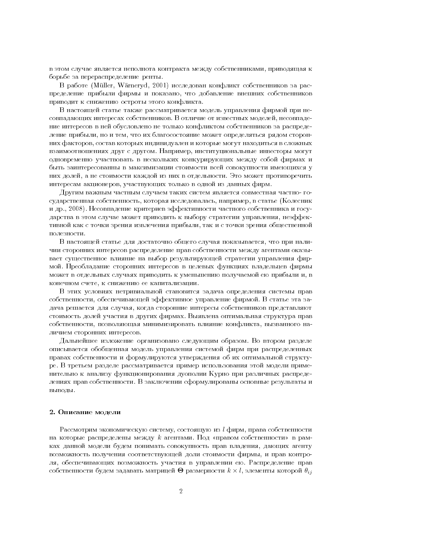в этом случае является неполнота контракта между собственниками, приводящая к борьбе за перераспределение ренты.

В работе (Müller, Wärneryd, 2001) исследован конфликт собственников за распределение прибыли фирмы и показано, что добавление внешних собственников приводит к снижению остроты этого конфликта.

В настоящей статье также рассматривается модель управления фирмой при несовпадающих интересах собственников. В отличие от известных моделей, несовпадение интересов в ней обусловлено не только конфликтом собственников за распределение прибыли, но и тем, что их благосостояние может определяться рядом сторонних факторов, состав которых индивидуален и которые могут находиться в сложных взаимоотношениях друг с другом. Например, институциональные инвесторы могут одновременно участвовать в нескольких конкурирующих между собой фирмах и быть заинтересованны в максимизации стоимости всей совокупности имеющихся у них долей, а не стоимости каждой из них в отдельности. Это может противоречить интересам акционеров, участвующих только в одной из данных фирм.

Другим важным частным случаем таких систем является совместная частно- государственная собственность, которая исследовалась, например, в статье (Колесник и др., 2008). Несовпадение критериев эффективности частного собственника и государства в этом случае может приводить к выбору стратегии управления, неэффективной как с точки зрения извлечения прибыли, так и с точки зрения общественной полезности.

В настоящей статье для достаточно общего случая показывается, что при наличии сторонних интересов распределение прав собственности между агентами оказывает существенное влияние на выбор результирующей стратегии управления фирмой. Преобладание сторонних интересов в целевых функциях владельцев фирмы может в отдельных случаях приводить к уменьшению получаемой ею прибыли и, в конечном счете, к снижению ее капитализации.

В этих условиях нетривиальной становится задача определения системы прав собственности, обеспечивающей эффективное управление фирмой. В статье эта задача решается для случая, когда сторонние интересы собственников представляют стоимость долей участия в других фирмах. Выявлена оптимальная структура прав собственности, позволяющая минимизировать влияние конфликта, вызванного наличием сторонних интересов.

Дальнейшее изложение организовано следующим образом. Во втором разделе описывается обобщенная модель управления системой фирм при распределенных правах собственности и формулируются утверждения об их оптимальной структуре. В третьем разделе рассматривается пример использования этой модели применительно к анализу функционирования дуополии Курно при различных распределениях прав собственности. В заключении сформулированы основные результаты и выводы.

#### 2. Описание модели

Рассмотрим экономическую систему, состоящую из  $l$  фирм, права собственности на которые распределены между *k* агентами. Под «правом собственности» в рамках данной модели будем понимать совокупность прав владения, дающих агенту возможность получения соответствующей доли стоимости фирмы, и прав контроля, обеспечивающих возможность участия в управлении ею. Распределение прав собственности будем задавать матрицей  $\Theta$  размерности  $k \times l$ , элементы которой  $\theta_{ij}$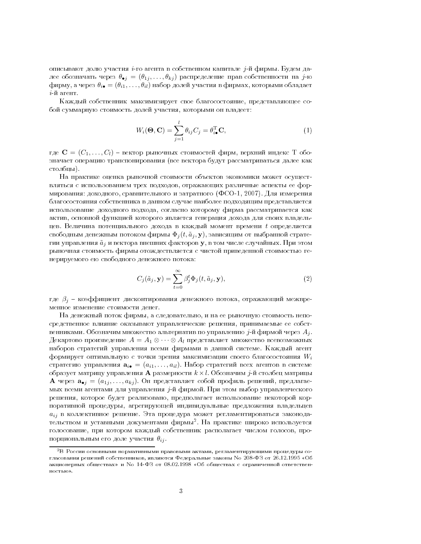описывают долю участия *i*-го агента в собственном капитале *j*-й фирмы. Будем далее обозначать через  $\theta_{\bullet j} = (\theta_{1j}, \dots, \theta_{kj})$  распределение прав собственности на j-ю фирму, а через  $\theta_{i\bullet} = (\theta_{i1}, \dots, \theta_{il})$  набор долей участия в фирмах, которыми обладает  $i$ -й агент.

Каждый собственник максимизирует свое благосостояние, представляющее собой суммарную стоимость долей участия, которыми он владеет:

$$
W_i(\mathbf{\Theta}, \mathbf{C}) = \sum_{j=1}^{l} \theta_{ij} C_j = \theta_{i\bullet}^{\mathrm{T}} \mathbf{C},
$$
\n(1)

где  $\mathbf{C} = (C_1, \ldots, C_l)$  - вектор рыночных стоимостей фирм, верхний индекс Т обозначает операцию транспонирования (все вектора будут рассматриваться далее как столбцы).

На практике оценка рыночной стоимости объектов экономики может осуществляться с использованием трех подходов, отражающих различные аспекты ее формирования: доходного, сравнительного и затратного (ФСО-1, 2007). Для измерения благосостояния собственника в данном случае наиболее подходящим представляется использование доходного подхода, согласно которому фирма рассматривается как актив, основной функцией которого является генерация дохода для своих владельцев. Величина потенциального дохода в каждый момент времени  $t$  определяется свободным денежным потоком фирмы  $\Phi_j(t, \tilde{a}_j, \mathbf{y})$ , зависящим от выбранной стратегии управления  $\tilde{a}_i$  и вектора внешних факторов у, в том числе случайных. При этом рыночная стоимость фирмы отождествляется с чистой приведенной стоимостью генерируемого ею свободного денежного потока:

$$
C_j(\tilde{a}_j, \mathbf{y}) = \sum_{t=0}^{\infty} \beta_j^t \Phi_j(t, \tilde{a}_j, \mathbf{y}),
$$
\n(2)

где  $\beta_i$  – коэффициент дисконтирования денежного потока, отражающий межвременное изменение стоимости денег.

На денежный поток фирмы, а следовательно, и на ее рыночную стоимость непосредственное влияние оказывают управленческие решения, принимаемые ее собственниками. Обозначим множество альтернатив по управлению  $j$ -й фирмой через  $A_j$ . Декартово произведение  $A = A_1 \otimes \cdots \otimes A_l$  представляет множество всевозможных наборов стратегий управления всеми фирмами в данной системе. Каждый агент формирует оптимальную с точки зрения максимизации своего благосостояния  $W_i$ стратегию управления  $\mathbf{a}_{i\bullet} = (a_{i1},...,a_{il})$ . Набор стратегий всех агентов в системе образует матрицу управления А размерности  $k \times l$ . Обозначим *j*-й столбец матрицы **А** через  $\mathbf{a}_{\bullet j} = (a_{1j}, \ldots, a_{kj})$ . Он представляет собой профиль решений, предлагаемых всеми агентами для управления *j*-й фирмой. При этом выбор управленческого решения, которое будет реализовано, предполагает использование некоторой корпоративной процедуры, агрегирующей индивидуальные предложения владельцев  $a_{ij}$  в коллективное решение. Эта процедура может регламентироваться законодательством и уставными документами фирмы<sup>2</sup>. На практике широко используется голосование, при котором каждый собственник располагает числом голосов, пропорциональным его доле участия  $\theta_{ij}$ .

 ${}^{2}B$  России основными нормативными правовыми актами, регламентирующими процедуры согласования решений собственников, являются Федеральные законы No 208-ФЗ от 26.12.1995 «Об акционерных обществах» и No 14-ФЗ от 08.02.1998 «Об обществах с ограниченной ответственностью».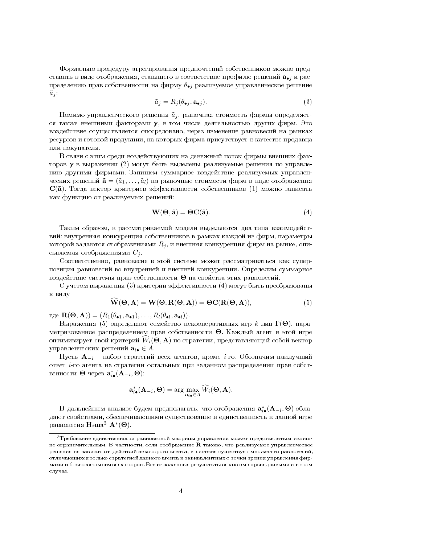Формально процедуру агрегирования предпочтений собственников можно представить в виде отображения, ставящего в соответствие профилю решений а, и распределению прав собственности на фирму  $\theta_{\bullet j}$  реализуемое управленческое решение  $\tilde{a}_i$ :

$$
\tilde{a}_j = R_j(\theta_{\bullet j}, \mathbf{a}_{\bullet j}).\tag{3}
$$

Помимо управленческого решения  $\tilde{a}_i$ , рыночная стоимость фирмы определяется также внешними факторами у, в том числе деятельностью других фирм. Это воздействие осуществляется опосредовано, через изменение равновесий на рынках ресурсов и готовой продукции, на которых фирма присутствует в качестве продавца или покупателя.

В связи с этим среди воздействующих на денежный поток фирмы внешних факторов **у** в выражении (2) могут быть выделены реализуемые решения по управлению другими фирмами. Запишем суммарное воздействие реализуемых управленческих решений  $\tilde{\mathbf{a}} = (\tilde{a}_1, \dots, \tilde{a}_l)$  на рыночные стоимости фирм в виде отображения  $\mathbf{C}(\tilde{\mathbf{a}})$ . Тогда вектор критериев эффективности собственников (1) можно записать как функцию от реализуемых решений:

$$
\mathbf{W}(\mathbf{\Theta}, \tilde{\mathbf{a}}) = \mathbf{\Theta} \mathbf{C}(\tilde{\mathbf{a}}). \tag{4}
$$

Таким образом, в рассматриваемой модели выделяются два типа взаимодействий: внутренняя конкуренция собственников в рамках каждой из фирм, параметры которой задаются отображениями  $R_j$ , и внешняя конкуренция фирм на рынке, описываемая отображениями  $C_i$ .

Соответственно, равновесие в этой системе может рассматриваться как суперпозиция равновесий во внутренней и внешней конкуренции. Определим суммарное воздействие системы прав собственности  $\Theta$  на свойства этих равновесий.

С учетом выражения (3) критерии эффективности (4) могут быть преобразованы к виду

$$
\mathbf{W}(\mathbf{\Theta}, \mathbf{A}) = \mathbf{W}(\mathbf{\Theta}, \mathbf{R}(\mathbf{\Theta}, \mathbf{A})) = \mathbf{\Theta} \mathbf{C}(\mathbf{R}(\mathbf{\Theta}, \mathbf{A})),
$$
\n(5)

 $\text{age } \mathbf{R}(\Theta, \mathbf{A}) = (R_1(\theta_{\bullet 1}, \mathbf{a}_{\bullet 1}), \dots, R_l(\theta_{\bullet l}, \mathbf{a}_{\bullet l})).$ 

Выражения (5) определяют семейство некооперативных игр  $k$  лиц  $\Gamma(\Theta)$ , параметризованное распределением прав собственности  $\Theta$ . Каждый агент в этой игре оптимизирует свой критерий  $W_i(\Theta, \mathbf{A})$  по стратегии, представляющей собой вектор управленческих решений  $\mathbf{a}_{i\bullet} \in A$ .

Пусть  $\mathbf{A}_{-i}$  – набор стратегий всех агентов, кроме *i*-го. Обозначим наилучший ответ *i*-го агента на стратегии остальных при заданном распределении прав собственности  $\Theta$  через  $\mathbf{a}_{i\bullet}^*(\mathbf{A}_{-i}, \Theta)$ :

$$
\mathbf{a}_{i\bullet}^*(\mathbf{A}_{-i}, \mathbf{\Theta}) = \arg\max_{\mathbf{a}_{i\bullet} \in A} \widehat{W}_i(\mathbf{\Theta}, \mathbf{A}).
$$

В дальнейшем анализе будем предполагать, что отображения  $\mathbf{a}_{i\bullet}^*(\mathbf{A}_{-i}, \mathbf{\Theta})$  обладают свойствами, обеспечивающими существование и единственность в данной игре равновесия Нэша<sup>3</sup>  $\mathbf{A}^*(\Theta)$ .

 $\rm ^3T$ ребование единственности равновесной матрицы управления может представляться излишне ограничительным. В частности, если отображение R таково, что реализуемое управленческое решение не зависит от лействий некоторого агента, в системе существует множество равновесий. отличающихся только стратегией данного агента и эквивалентных с точки зрения управления фирмами и благосостояния всех сторон. Все изложенные результаты остаются справедливыми и в этом случае.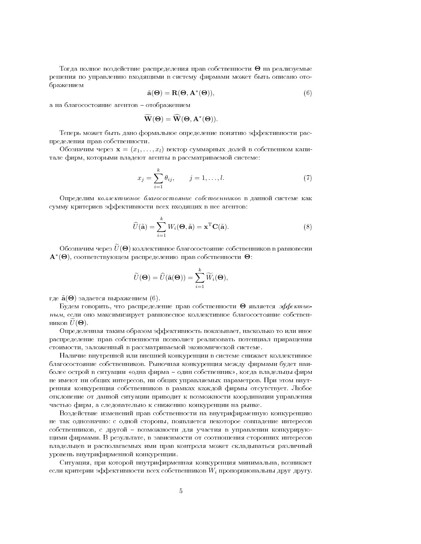Тогда полное воздействие распределения прав собственности  $\Theta$  на реализуемые решения по управлению входящими в систему фирмами может быть описано отображением

$$
\tilde{\mathbf{a}}(\Theta) = \mathbf{R}(\Theta, \mathbf{A}^*(\Theta)),\tag{6}
$$

а на благосостояние агентов - отображением

$$
\widetilde{\mathbf{W}}(\mathbf{\Theta}) = \widehat{\mathbf{W}}(\mathbf{\Theta}, \mathbf{A}^*(\mathbf{\Theta})).
$$

Теперь может быть дано формальное определение понятию эффективности распределения прав собственности.

Обозначим через  $\mathbf{x} = (x_1, \ldots, x_l)$  вектор суммарных долей в собственном капитале фирм, которыми владеют агенты в рассматриваемой системе:

$$
x_j = \sum_{i=1}^k \theta_{ij}, \qquad j = 1, ..., l. \tag{7}
$$

Определим коллективное благосостояние собственников в данной системе как сумму критериев эффективности всех входящих в нее агентов:

$$
\widehat{U}(\widetilde{\mathbf{a}}) = \sum_{i=1}^{k} W_i(\mathbf{\Theta}, \widetilde{\mathbf{a}}) = \mathbf{x}^{\mathrm{T}} \mathbf{C}(\widetilde{\mathbf{a}}).
$$
\n(8)

Обозначим через  $\widetilde{U}(\boldsymbol{\Theta})$  коллективное благосостояние собственников в равновесии  $\mathbf{A}^*(\mathbf{\Theta})$ , соответствующем распределению прав собственности  $\mathbf{\Theta}$ :

$$
\widetilde{U}(\mathbf{\Theta}) = \widehat{U}(\widetilde{\mathbf{a}}(\mathbf{\Theta})) = \sum_{i=1}^{k} \widetilde{W}_i(\mathbf{\Theta}),
$$

где  $\tilde{\mathbf{a}}(\Theta)$  задается выражением (6).

Будем говорить, что распределение прав собственности  $\Theta$  является эффективным, если оно максимизирует равновесное коллективное благосостояние собственников  $U(\Theta)$ .

Определенная таким образом эффективность показывает, насколько то или иное распределение прав собственности позволяет реализовать потенциал приращения стоимости, заложенный в рассматриваемой экономической системе.

Наличие внутренней или внешней конкуренции в системе снижает коллективное благосостояние собственников. Рыночная конкуренция между фирмами будет наиболее острой в ситуации «одна фирма - один собственник», когда владельцы фирм не имеют ни общих интересов, ни общих управляемых параметров. При этом внутренняя конкуренция собственников в рамках каждой фирмы отсутствует. Любое отклонение от данной ситуации приводит к возможности координации управления частью фирм, а следовательно к снижению конкуренции на рынке.

Воздействие изменений прав собственности на внутрифирменную конкуренцию не так однозначно: с одной стороны, появляется некоторое совпадение интересов собственников, с другой - возможности для участия в управлении конкурирующими фирмами. В результате, в зависимости от соотношения сторонних интересов владельцев и располагаемых ими прав контроля может складываться различный уровень внутрифирменной конкуренции.

Ситуация, при которой внутрифирменная конкуренция минимальна, возникает если критерии эффективности всех собственников  $W_i$  пропорциональны друг другу.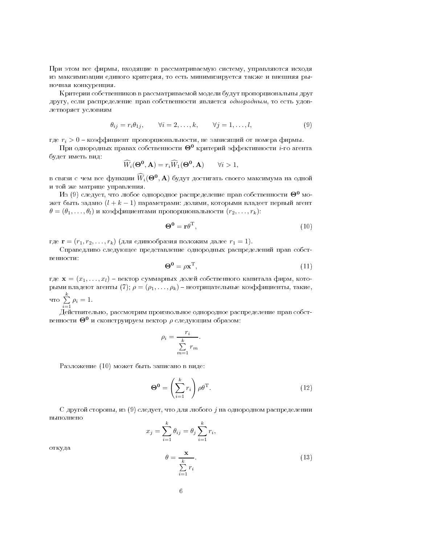нри этом все фирмы, входящие в рассматриваемую систему, управляются исходя из максимизации единого критерия, то есть минимизируется также и внешняя рыночная конкуренция.

критерии сооственников в рассматриваемои модели оудут пропорциональны друг другу, если распределение прав сооственности является *оонорооным*, то есть удовлетворяет условиям

$$
\theta_{ij} = r_i \theta_{1j}, \qquad \forall i = 2, \dots, k, \qquad \forall j = 1, \dots, l,
$$
\n(9)

где  $r_i > 0$  – коэффициент пропорциональности, не зависящий от номера фирмы.

При однородных правах собственности  $\Theta^0$  критерий эффективности *i*-го агента оудет иметь вид:

$$
\widehat{W}_i(\mathbf{\Theta^0}, \mathbf{A}) = r_i \widehat{W}_1(\mathbf{\Theta^0}, \mathbf{A}) \qquad \forall i > 1,
$$

в связи с чем все функции  $\widehat{W}_i(\boldsymbol{\Theta^0}, \textbf{A})$  будут достигать своего максимума на одной 
 -: - 

Из (9) следует, что любое однородное распределение прав собственности  $\Theta^0$  может быть задано  $(l+k-1)$  параметрами: долями, которыми владеет первый агент  $\theta = (\theta_1, \ldots, \theta_l)$  и коэффициентами пропорциональности  $(r_2, \ldots, r_k)$ :

$$
\mathbf{\Theta}^{\mathbf{0}} = \mathbf{r}\theta^{\mathrm{T}},\tag{10}
$$

где  $\mathbf{r} = (r_1, r_2, \ldots, r_k)$  (для единообразия положим далее  $r_1 = 1$ ).

Справелливо следующее представление однородных распределении прав сооственности:

$$
\Theta^0 = \rho \mathbf{x}^{\mathrm{T}},\tag{11}
$$

где  $\mathbf{x} = (x_1, \ldots, x_l)$  – вектор суммарных долей собственного капитала фирм, которыми владеют агенты (7);  $\rho=(\rho_1,\ldots,\rho_k)$  – неотрицательные коэффициенты, такие,  $\frac{k}{4TQ}$  $\sum_{i=1} \rho_i = 1.$ 

деиствительно, рассмотрим произвольное однородное распределение прав сооственности  $\Theta^0$  и сконструируем вектор  $\rho$  следующим образом:

$$
\rho_i = \frac{r_i}{\sum_{m=1}^k r_m}.
$$

газложение (то) может оыть записано в виде:

$$
\Theta^{\mathbf{0}} = \left(\sum_{i=1}^{k} r_i\right) \rho \theta^{\mathrm{T}}.
$$
\n(12)

С другой стороны, из (9) следует, что для любого  $j$  на однородном распределении выполнено

$$
x_j = \sum_{i=1}^k \theta_{ij} = \theta_j \sum_{i=1}^k r_i,
$$
  

$$
\theta = \frac{\mathbf{x}}{\sum_{i=1}^k r_i}.
$$
 (13)

откуда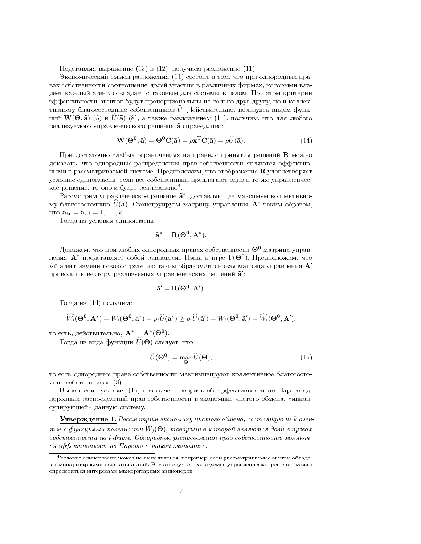Подставляя выражение (13) в (12), получаем разложение (11).

Экономический смысл разложения (11) состоит в том, что при однородных правах собственности соотношение долей участия в различных фирмах, которыми владеет каждый агент, совпадает с таковым для системы в целом. При этом критерии эффективности агентов будут пропорциональны не только друг другу, но и коллективному благосостоянию собственников  $\hat{U}$ . Действительно, пользуясь видом функций  $W(\Theta, \tilde{a})$  (5) и  $U(\tilde{a})$  (8), а также разложением (11), получим, что для любого реализуемого управленческого решения  $\tilde{a}$  справедливо:

$$
\mathbf{W}(\mathbf{\Theta}^{\mathbf{0}}, \tilde{\mathbf{a}}) = \mathbf{\Theta}^{\mathbf{0}} \mathbf{C}(\tilde{\mathbf{a}}) = \rho \mathbf{x}^{\mathrm{T}} \mathbf{C}(\tilde{\mathbf{a}}) = \rho \hat{U}(\tilde{\mathbf{a}}).
$$
 (14)

При достаточно слабых ограничениях на правило принятия решений  $\bf R$  можно доказать, что однородные распределения прав собственности являются эффективными в рассматриваемой системе. Предположим, что отображение  ${\bf R}$  удовлетворяет условию единогласия: если все собственники предлагают одно и то же управленческое решение, то оно и будет реализовано<sup>4</sup>.

Рассмотрим управленческое решение  $\mathbf{\tilde{a}}^*$ , доставляющее максимум коллективному благосостоянию  $\hat{U}(\tilde{a})$ . Сконструируем матрицу управления  $A^*$  таким образом, что  $\mathbf{a}_{i\bullet} = \tilde{\mathbf{a}}$ ,  $i = 1, \ldots, k$ .

Тогда из условия единогласия

$$
\tilde{\mathbf{a}}^* = \mathbf{R}(\Theta^0, \mathbf{A}^*).
$$

Докажем, что при любых однородных правах собственности  $\Theta^0$  матрица управления  $\mathbf{A}^*$  представляет собой равновесие Нэша в игре  $\Gamma(\Theta^0)$ . Предположим, что  $i$ -й агент изменил свою стратегию таким образом,что новая матрица управления  $\mathbf{A}'$ приводит к вектору реализуемых управленческих решений  $\tilde{a}'$ :

$$
\tilde{\mathbf{a}}' = \mathbf{R}(\Theta^0, \mathbf{A}').
$$

Тогда из (14) получим:

$$
\widehat{W}_i(\Theta^0,\mathbf{A}^*)=W_i(\Theta^0,\tilde{\mathbf{a}}^*)=\rho_i\widehat{U}(\tilde{\mathbf{a}}^*)\geq\rho_i\widehat{U}(\tilde{\mathbf{a}}')=W_i(\Theta^0,\tilde{\mathbf{a}}')=\widehat{W}_i(\Theta^0,\mathbf{A}'),
$$

то есть, действительно,  $\mathbf{A}^* = \mathbf{A}^*(\Theta^0)$ .

Тогда из вида функции  $\tilde{U}(\Theta)$  следует, что

$$
\widetilde{U}(\mathbf{\Theta}^{\mathbf{0}}) = \max_{\mathbf{\Theta}} \widetilde{U}(\mathbf{\Theta}),\tag{15}
$$

то есть однородные права собственности максимизируют коллективное благосостояние собственников (8).

Выполнение условия (15) позволяет говорить об эффективности по Парето однородных распределений прав собственности в экономике чистого обмена, «инкапсулирующей» данную систему.

Утверждение 1. Рассмотрим экономику чистого обмена, состоящую из к агентов с функциями полезности  $W_i(\Theta)$ , товарами в которой являются доли в правах собственности на l фирм. Однородные распределения прав собственности являются эффективными по Парето в такой экономике.

 $^4\rm V$ словие единогласия может не выполняться, например, если рассматриваемые агенты обладают миноритарными пакетами акций. В этом случае реализуемое управленческое решение может определяться интересами мажоритарных акционеров.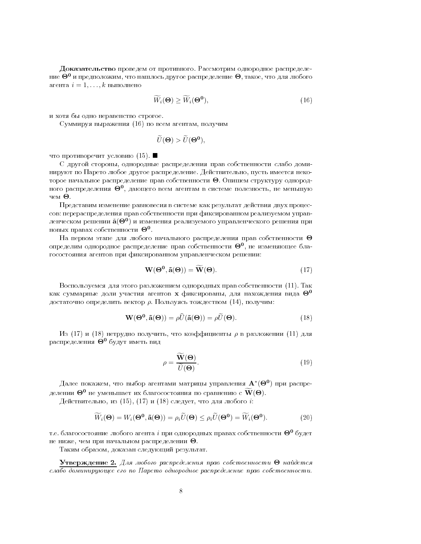доказательство проведем от противного. гассмотрим однородное распределение  $\Theta^0$  и предположим, что нашлось другое распределение  $\Theta$ , такое, что для любого агента  $i = 1, \ldots, k$  выполнено

$$
\widetilde{W}_i(\mathbf{\Theta}) \ge \widetilde{W}_i(\mathbf{\Theta}^0),\tag{16}
$$

и хотя оы одно неравенство строгое.

Суммируя выражения (10) по всем агентам, получим

$$
\widetilde{U}(\mathbf{\Theta}) > \widetilde{U}(\mathbf{\Theta}^{\mathbf{0}}),
$$

что противоречит условию  $(15)$ .  $\blacksquare$ 

С другои стороны, однородные распределения прав сооственности слаоо доминируют по парето люоое другое распределение. Деиствительно, пусть имеется некоторое начальное распределение прав собственности  $\boldsymbol{\Theta}$ . Опишем структуру однородного распределения  $\Theta^0$ , дающего всем агентам в системе полезность, не меньшую Θ

представим изменение равновесия в системе как результат деиствия двух процессов: перераспределения прав сооственности при фиксированном реализуемом управленческом решении  $\tilde{a}(\Theta^0)$  и изменения реализуемого управленческого решения при новых правах собственности  $\Theta^0$ .

На первом этапе для любого начального распределения прав собственности  $\Theta$ определим однородное распределение прав собственности  $\Theta^0$ , не изменяющее благосостояния агентов при фиксированном управленческом решении:

$$
\mathbf{W}(\mathbf{\Theta}^{\mathbf{0}}, \tilde{\mathbf{a}}(\mathbf{\Theta})) = \widetilde{\mathbf{W}}(\mathbf{\Theta}).
$$
\n(17)

воспользуемся для этого разложением однородных прав сооственности (тт). так как суммарные доли участия агентов **х** фиксированы, для нахождения вида  $\Theta^0$ достаточно определить вектор  $\rho$ . Пользуясь тождеством  $(14)$ , получим:

$$
\mathbf{W}(\mathbf{\Theta}^{\mathbf{0}}, \tilde{\mathbf{a}}(\mathbf{\Theta})) = \rho \widehat{U}(\tilde{\mathbf{a}}(\mathbf{\Theta})) = \rho \widetilde{U}(\mathbf{\Theta}).
$$
\n(18)

Из (17) и (18) нетрудно получить, что коэффициенты  $\rho$  в разложении (11) для распределения  $\Theta^0$  будут иметь вид

$$
\rho = \frac{\widetilde{\mathbf{W}}(\Theta)}{\widetilde{U}(\Theta)}.
$$
\n(19)

Далее покажем, что выбор агентами матрицы управления  $\mathbf{A}^{*}(\mathbf{\Theta^{0}})$  при распределении  $\Theta^0$  не уменьшает их благосостояния по сравнению с  $\widetilde{\mathbf{W}}(\mathbf{\Theta})$ .

Действительно, из  $(15)$ ,  $(17)$  и  $(18)$  следует, что для любого  $i$ :

$$
\widetilde{W}_i(\mathbf{\Theta}) = W_i(\mathbf{\Theta}^0, \widetilde{\mathbf{a}}(\mathbf{\Theta})) = \rho_i \widetilde{U}(\mathbf{\Theta}) \le \rho_i \widetilde{U}(\mathbf{\Theta}^0) = \widetilde{W}_i(\mathbf{\Theta}^0). \tag{20}
$$

т.е. благосостояние любого агента  $i$  при однородных правах собственности  $\Theta^0$  будет не ниже, чем при начальном распределении  $\boldsymbol{\Theta}$ .

таким ооразом, доказан следующии результат.

 $\bf{V}$ тверждение 2. Для любого распределения прав собственности  $\bf{\Theta}$  найдется  - - - - " - ----  - -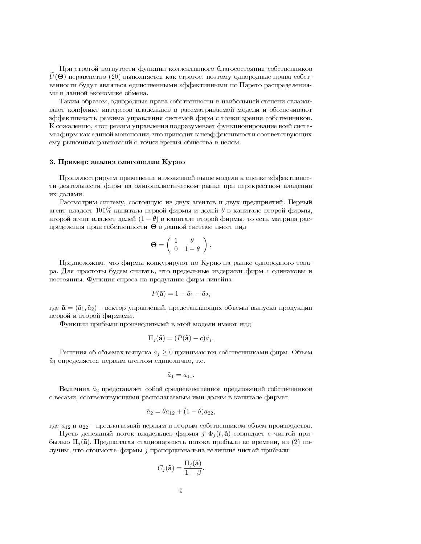При строгой вогнутости функции коллективного благосостояния собственников  $U(\Theta)$  неравенство (20) выполняется как строгое, поэтому однородные права собственности будут являться единственными эффективными по Парето распределениями в данной экономике обмена.

Таким образом, однородные права собственности в наибольшей степени сглаживают конфликт интересов владельцев в рассматриваемой модели и обеспечивают эффективность режима управления системой фирм с точки зрения собственников. К сожалению, этот режим управления подразумевает функционирование всей системы фирм как единой монополии, что приводит к неэффективности соответствующих ему рыночных равновесий с точки зрения общества в целом.

#### 3. Пример: анализ олигополии Курно

Проиллюстрируем применение изложенной выше модели к оценке эффективности деятельности фирм на олигополистическом рынке при перекрестном владении их лолями.

Рассмотрим систему, состоящую из двух агентов и двух предприятий. Первый агент владеет 100% капитала первой фирмы и долей  $\theta$  в капитале второй фирмы, второй агент владеет долей  $(1 - \theta)$  в капитале второй фирмы, то есть матрица распределения прав собственности  $\Theta$  в данной системе имеет вид

$$
\mathbf{\Theta} = \left( \begin{array}{cc} 1 & \theta \\ 0 & 1 - \theta \end{array} \right).
$$

Предположим, что фирмы конкурируют по Курно на рынке однородного товара. Для простоты будем считать, что предельные издержки фирм с одинаковы и постоянны. Функция спроса на продукцию фирм линейна:

$$
P(\mathbf{\tilde{a}})=1-\tilde{a}_1-\tilde{a}_2,
$$

где  $\tilde{\mathbf{a}} = (\tilde{a}_1, \tilde{a}_2)$  – вектор управлений, представляющих объемы выпуска продукции первой и второй фирмами.

Функции прибыли производителей в этой модели имеют вид

$$
\Pi_j(\tilde{\mathbf{a}}) = (P(\tilde{\mathbf{a}}) - c)\tilde{a}_j.
$$

Решения об объемах выпуска  $\tilde{a}_i \geq 0$  принимаются собственниками фирм. Объем  $\tilde{a}_1$  определяется первым агентом единолично, т.е.

$$
\tilde{a}_1 = a_{11}.
$$

Величина  $\tilde{a}_2$  представляет собой средневзвешенное предложений собственников с весами, соответствующими располагаемым ими долям в капитале фирмы:

$$
\tilde{a}_2 = \theta a_{12} + (1 - \theta) a_{22},
$$

где  $a_{12}$  и  $a_{22}$  – предлагаемый первым и вторым собственником объем производства.

Пусть денежный поток владельцев фирмы  $j \Phi_i(t, \tilde{\mathbf{a}})$  совпадает с чистой прибылью  $\Pi_i(\tilde{\mathbf{a}})$ . Предполагая стационарность потока прибыли во времени, из (2) получим, что стоимость фирмы ј пропорциональна величине чистой прибыли:

$$
C_j(\mathbf{\tilde{a}}) = \frac{\Pi_j(\mathbf{\tilde{a}})}{1 - \beta}.
$$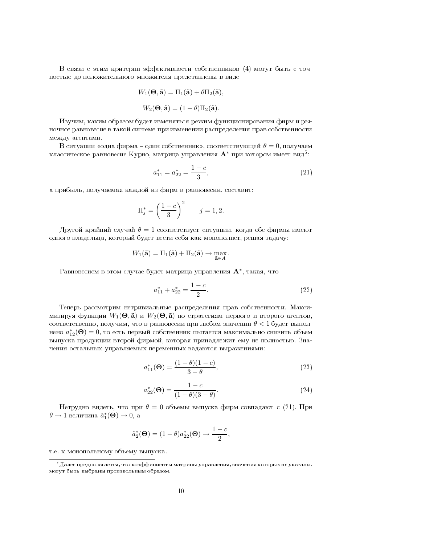?    DjE J 

 - 

$$
W_1(\mathbf{\Theta}, \mathbf{\tilde{a}}) = \Pi_1(\mathbf{\tilde{a}}) + \theta \Pi_2(\mathbf{\tilde{a}}),
$$

$$
W_2(\mathbf{\Theta}, \mathbf{\tilde{a}}) = (1 - \theta) \Pi_2(\mathbf{\tilde{a}}).
$$

 - 
- :

- - -
 - - 
 - -

В ситуации «одна фирма – один собственник», соответствующей  $\theta=0$ , получаем классическое равновесие Курно, матрица управления  $\mathbf{A}^*$  при котором имеет вид $^5$ :

$$
a_{11}^* = a_{22}^* = \frac{1-c}{3},\tag{21}
$$

- 
- - - - 
-d

$$
\Pi_j^* = \left(\frac{1-c}{3}\right)^2 \qquad j = 1, 2.
$$

Другой крайний случай  $\theta=1$  соответствует ситуации, когда обе фирмы имеют - :- 

 - 

 <- --d

$$
W_1(\mathbf{\tilde{a}}) = \Pi_1(\mathbf{\tilde{a}}) + \Pi_2(\mathbf{\tilde{a}}) \rightarrow \max_{\mathbf{\tilde{a}} \in A}.
$$

Равновесием в этом случае будет матрица управления  $\mathbf{A}^*$ , такая, что

$$
a_{11}^* + a_{22}^* = \frac{1-c}{2}.\tag{22}
$$

F - - - - Y мизируя функции  $W_1(\boldsymbol{\Theta}, \tilde{\mathbf{a}})$  и  $W_2(\boldsymbol{\Theta}, \tilde{\mathbf{a}})$  по стратегиям первого и второго агентов, соответственно, получим, что в равновесии при любом значении  $\theta < 1$  будет выполнено  $a_{12}^*(\mathbf{\Theta})=0$ , то есть первый собственник пытается максимально снизить объем - 
: 

 

- - 

J i- 
- - --J - d

$$
a_{11}^*(\mathbf{\Theta}) = \frac{(1-\theta)(1-c)}{3-\theta},
$$
\n(23)

$$
a_{22}^*(\mathbf{\Theta}) = \frac{1-c}{(1-\theta)(3-\theta)}.\tag{24}
$$

Нетрудно видеть, что при  $\theta = 0$  объемы выпуска фирм совпадают с (21). При  $\theta \to 1$  величина  $\tilde{a}_1^*(\mathbf{\Theta}) \to 0$ , а

$$
\tilde{a}_2^*(\mathbf{\Theta}) = (1 - \theta)a_{22}^*(\mathbf{\Theta}) \rightarrow \frac{1 - c}{2},
$$

  

e -

<sup>-</sup>далее предполагается, что коэффициенты матрицы управления, значения которых не указаны, -  - - --"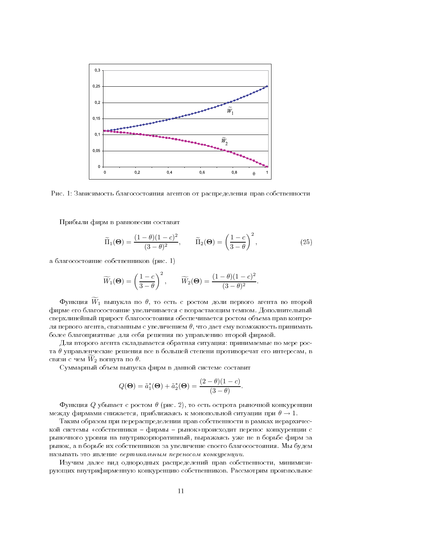

Рис. 1: Зависимость благосостояния агентов от распределения прав собственности

Прибыли фирм в равновесии составят

$$
\widetilde{\Pi}_1(\mathbf{\Theta}) = \frac{(1-\theta)(1-c)^2}{(3-\theta)^2}, \qquad \widetilde{\Pi}_2(\mathbf{\Theta}) = \left(\frac{1-c}{3-\theta}\right)^2,\tag{25}
$$

а благосостояние собственников (рис. 1)

$$
\widetilde{W}_1(\mathbf{\Theta}) = \left(\frac{1-c}{3-\theta}\right)^2, \qquad \widetilde{W}_2(\mathbf{\Theta}) = \frac{(1-\theta)(1-c)^2}{(3-\theta)^2}
$$

 $\Phi$ ункция  $\widetilde W_1$  выпукла по  $\theta$ , то есть с ростом доли первого агента во второй фирме его благосостояние увеличивается с возрастающим темпом. Дополнительный сверхлинейный прирост благосостояния обеспечивается ростом объема прав контроля первого агента, связанным с увеличением  $\theta$ , что дает ему возможность принимать более благоприятные для себя решения по управлению второй фирмой.

Для второго агента складывается обратная ситуация: принимаемые по мере роста  $\theta$  управленческие решения все в большей степени противоречат его интересам, в связи с чем  $\tilde{W}_2$  вогнута по  $\theta$ .

Суммарный объем выпуска фирм в данной системе составит

$$
Q(\mathbf{\Theta}) = \tilde{a}_1^*(\mathbf{\Theta}) + \tilde{a}_2^*(\mathbf{\Theta}) = \frac{(2-\theta)(1-c)}{(3-\theta)}.
$$

Функция  $Q$  убывает с ростом  $\theta$  (рис. 2), то есть острота рыночной конкуренции между фирмами снижается, приближаясь к монопольной ситуации при  $\theta \rightarrow 1$ .

Таким образом при перераспределении прав собственности в рамках иерархической системы «собственники - фирмы - рынок»происходит перенос конкуренции с рыночного уровня на внутрикорпоративный, выражаясь уже не в борьбе фирм за рынок, а в борьбе их собственников за увеличение своего благосостояния. Мы будем называть это явление вертикальным переносом конкуренции.

Изучим далее вид однородных распределений прав собственности, минимизирующих внутрифирменную конкуренцию собственников. Рассмотрим произвольное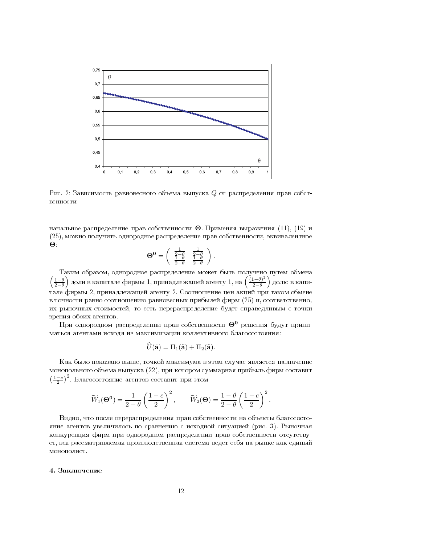

Рис. 2: Зависимость равновесного объема выпуска Q от распределения прав собственности

начальное распределение прав собственности  $\Theta$ . Применяя выражения (11), (19) и (25), можно получить однородное распределение прав собственности, эквивалентное  $\Theta$ .

$$
\Theta^0 = \begin{pmatrix} \frac{1}{2-\theta} & \frac{1}{2-\theta} \\ \frac{1-\theta}{2-\theta} & \frac{1-\theta}{2-\theta} \end{pmatrix}
$$

Таким образом, однородное распределение может быть получено путем обмена  $\left(\frac{1-\theta}{2-\theta}\right)$  доли в капитале фирмы 1, принадлежащей агенту 1, на  $\left(\frac{(1-\theta)^2}{2-\theta}\right)$  долю в капитале фирмы 2, принадлежащей агенту 2. Соотношение цен акций при таком обмене в точности равно соотношению равновесных прибылей фирм (25) и, соответственно, их рыночных стоимостей, то есть перераспределение будет справедливым с точки зрения обоих агентов.

При однородном распределении прав собственности  $\Theta^0$  решения будут приниматься агентами исходя из максимизации коллективного благосостояния:

$$
\widehat{U}(\tilde{\mathbf{a}}) = \Pi_1(\tilde{\mathbf{a}}) + \Pi_2(\tilde{\mathbf{a}}).
$$

Как было показано выше, точкой максимума в этом случае является назначение монопольного объема выпуска (22), при котором суммарная прибыль фирм составит  $\left(\frac{1-c}{2}\right)^2$ . Благосостояние агентов составит при этом

$$
\widetilde{W}_1(\boldsymbol{\Theta^0}) = \frac{1}{2-\theta}\left(\frac{1-c}{2}\right)^2, \qquad \widetilde{W}_2(\boldsymbol{\Theta}) = \frac{1-\theta}{2-\theta}\left(\frac{1-c}{2}\right)^2.
$$

Видно, что после перераспределения прав собственности на объекты благосостояние агентов увеличилось по сравнению с исходной ситуацией (рис. 3). Рыночная конкуренция фирм при однородном распределении прав собственности отсутствует, вся рассматриваемая производственная система ведет себя на рынке как единый монополист.

#### 4. Заключение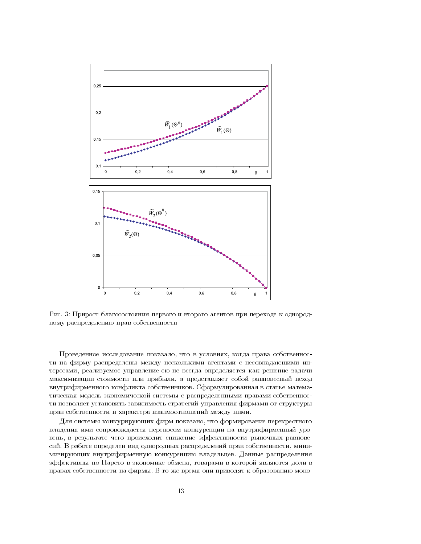

Рис. 3: Прирост благосостояния первого и второго агентов при переходе к однородному распределению прав собственности

Проведенное исследование показало, что в условиях, когда права собственности на фирму распределены между несколькими агентами с несовпадающими интересами, реализуемое управление ею не всегда определяется как решение задачи максимизации стоимости или прибыли, а представляет собой равновесный исход внутрифирменного конфликта собственников. Сформулированная в статье математическая модель экономической системы с распределенными правами собственности позволяет установить зависимость стратегий управления фирмами от структуры прав собственности и характера взаимоотношений между ними.

Для системы конкурирующих фирм показано, что формирование перекрестного владения ими сопровождается переносом конкуренции на внутрифирменный уровень, в результате чего происходит снижение эффективности рыночных равновесий. В работе определен вид однородных распределений прав собственности, минимизирующих внутрифирменную конкуренцию владельцев. Данные распределения эффективны по Парето в экономике обмена, товарами в которой являются доли в правах собственности на фирмы. В то же время они приводят к образованию моно